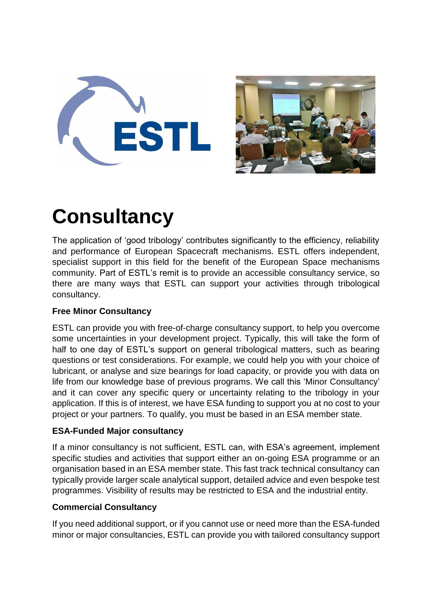



# **Consultancy**

The application of 'good tribology' contributes significantly to the efficiency, reliability and performance of European Spacecraft mechanisms. ESTL offers independent, specialist support in this field for the benefit of the European Space mechanisms community. Part of ESTL's remit is to provide an accessible consultancy service, so there are many ways that ESTL can support your activities through tribological consultancy.

# **Free Minor Consultancy**

ESTL can provide you with free-of-charge consultancy support, to help you overcome some uncertainties in your development project. Typically, this will take the form of half to one day of ESTL's support on general tribological matters, such as bearing questions or test considerations. For example, we could help you with your choice of lubricant, or analyse and size bearings for load capacity, or provide you with data on life from our knowledge base of previous programs. We call this 'Minor Consultancy' and it can cover any specific query or uncertainty relating to the tribology in your application. If this is of interest, we have ESA funding to support you at no cost to your project or your partners. To qualify, you must be based in an ESA member state.

### **ESA-Funded Major consultancy**

If a minor consultancy is not sufficient, ESTL can, with ESA's agreement, implement specific studies and activities that support either an on-going ESA programme or an organisation based in an ESA member state. This fast track technical consultancy can typically provide larger scale analytical support, detailed advice and even bespoke test programmes. Visibility of results may be restricted to ESA and the industrial entity.

### **Commercial Consultancy**

If you need additional support, or if you cannot use or need more than the ESA-funded minor or major consultancies, ESTL can provide you with tailored consultancy support